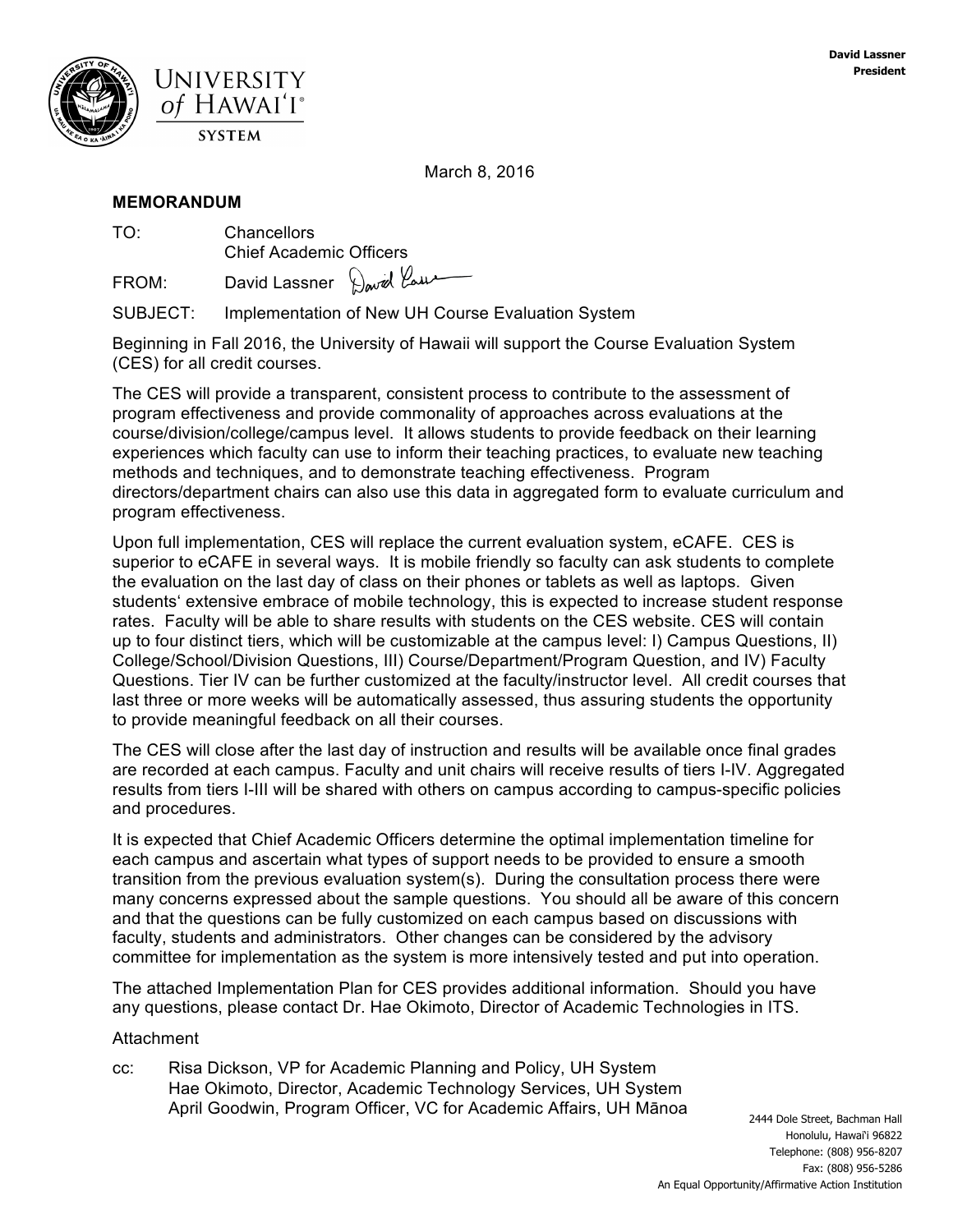

March 8, 2016

### **MEMORANDUM**

TO: Chancellors Chief Academic Officers

FROM: David Lassner David Laux

SUBJECT: Implementation of New UH Course Evaluation System

Beginning in Fall 2016, the University of Hawaii will support the Course Evaluation System (CES) for all credit courses.

The CES will provide a transparent, consistent process to contribute to the assessment of program effectiveness and provide commonality of approaches across evaluations at the course/division/college/campus level. It allows students to provide feedback on their learning experiences which faculty can use to inform their teaching practices, to evaluate new teaching methods and techniques, and to demonstrate teaching effectiveness. Program directors/department chairs can also use this data in aggregated form to evaluate curriculum and program effectiveness.

Upon full implementation, CES will replace the current evaluation system, eCAFE. CES is superior to eCAFE in several ways. It is mobile friendly so faculty can ask students to complete the evaluation on the last day of class on their phones or tablets as well as laptops. Given studentsʻ extensive embrace of mobile technology, this is expected to increase student response rates. Faculty will be able to share results with students on the CES website. CES will contain up to four distinct tiers, which will be customizable at the campus level: I) Campus Questions, II) College/School/Division Questions, III) Course/Department/Program Question, and IV) Faculty Questions. Tier IV can be further customized at the faculty/instructor level. All credit courses that last three or more weeks will be automatically assessed, thus assuring students the opportunity to provide meaningful feedback on all their courses.

The CES will close after the last day of instruction and results will be available once final grades are recorded at each campus. Faculty and unit chairs will receive results of tiers I-IV. Aggregated results from tiers I-III will be shared with others on campus according to campus-specific policies and procedures.

It is expected that Chief Academic Officers determine the optimal implementation timeline for each campus and ascertain what types of support needs to be provided to ensure a smooth transition from the previous evaluation system(s). During the consultation process there were many concerns expressed about the sample questions. You should all be aware of this concern and that the questions can be fully customized on each campus based on discussions with faculty, students and administrators. Other changes can be considered by the advisory committee for implementation as the system is more intensively tested and put into operation.

The attached Implementation Plan for CES provides additional information. Should you have any questions, please contact Dr. Hae Okimoto, Director of Academic Technologies in ITS.

### Attachment

cc: Risa Dickson, VP for Academic Planning and Policy, UH System Hae Okimoto, Director, Academic Technology Services, UH System April Goodwin, Program Officer, VC for Academic Affairs, UH Mānoa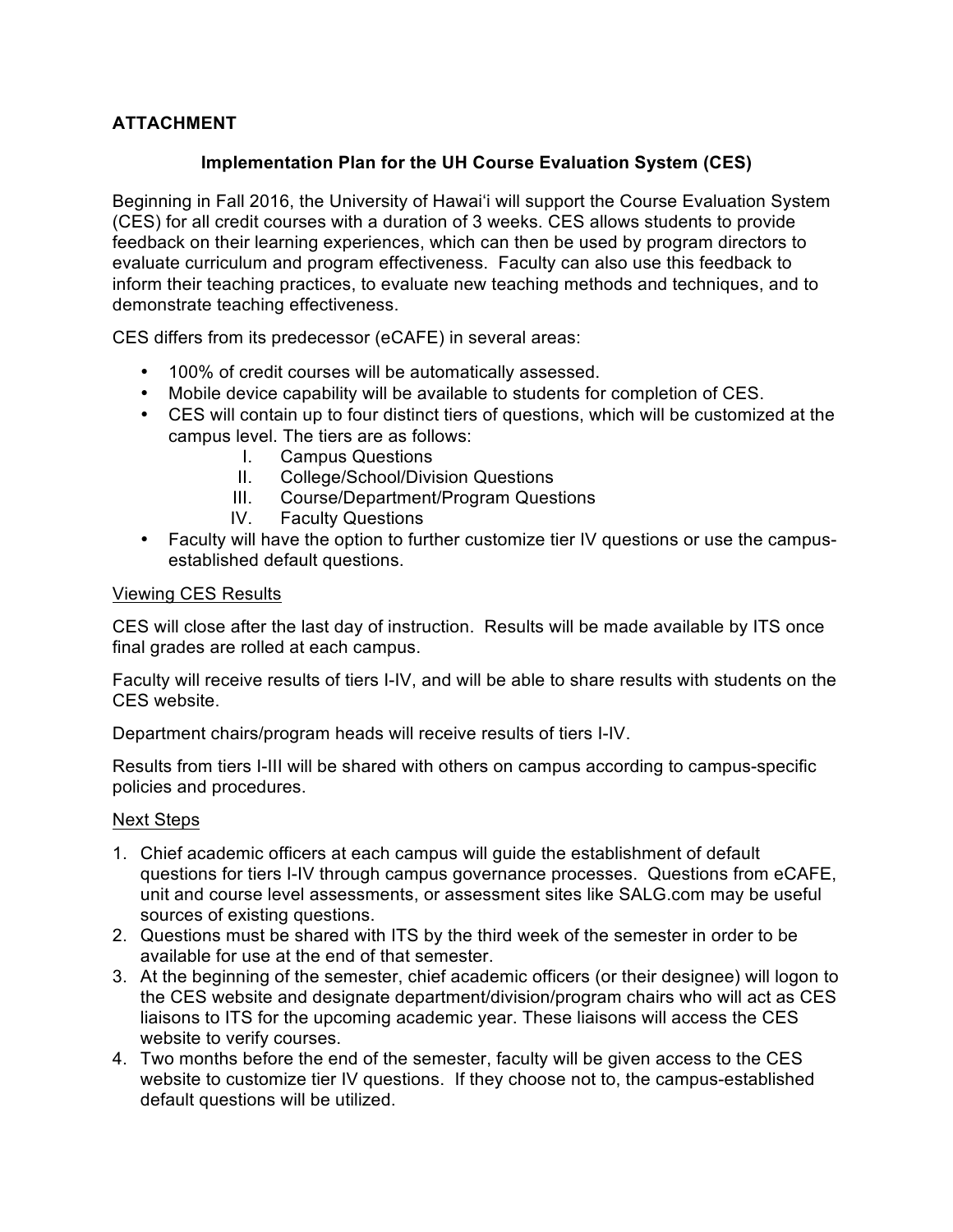# **ATTACHMENT**

## **Implementation Plan for the UH Course Evaluation System (CES)**

Beginning in Fall 2016, the University of Hawai'i will support the Course Evaluation System (CES) for all credit courses with a duration of 3 weeks. CES allows students to provide feedback on their learning experiences, which can then be used by program directors to evaluate curriculum and program effectiveness. Faculty can also use this feedback to inform their teaching practices, to evaluate new teaching methods and techniques, and to demonstrate teaching effectiveness.

CES differs from its predecessor (eCAFE) in several areas:

- 100% of credit courses will be automatically assessed.
- Mobile device capability will be available to students for completion of CES.
- CES will contain up to four distinct tiers of questions, which will be customized at the campus level. The tiers are as follows:
	- I. Campus Questions
	- II. College/School/Division Questions
	- III. Course/Department/Program Questions
	- IV. Faculty Questions
- Faculty will have the option to further customize tier IV questions or use the campusestablished default questions.

### Viewing CES Results

CES will close after the last day of instruction. Results will be made available by ITS once final grades are rolled at each campus.

Faculty will receive results of tiers I-IV, and will be able to share results with students on the CES website.

Department chairs/program heads will receive results of tiers I-IV.

Results from tiers I-III will be shared with others on campus according to campus-specific policies and procedures.

### Next Steps

- 1. Chief academic officers at each campus will guide the establishment of default questions for tiers I-IV through campus governance processes. Questions from eCAFE, unit and course level assessments, or assessment sites like SALG.com may be useful sources of existing questions.
- 2. Questions must be shared with ITS by the third week of the semester in order to be available for use at the end of that semester.
- 3. At the beginning of the semester, chief academic officers (or their designee) will logon to the CES website and designate department/division/program chairs who will act as CES liaisons to ITS for the upcoming academic year. These liaisons will access the CES website to verify courses.
- 4. Two months before the end of the semester, faculty will be given access to the CES website to customize tier IV questions. If they choose not to, the campus-established default questions will be utilized.